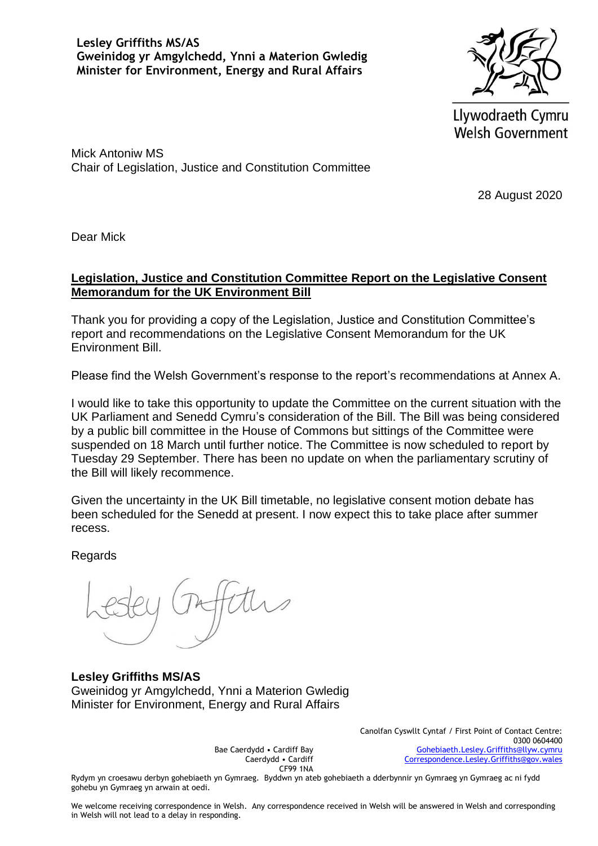**Lesley Griffiths MS/AS Gweinidog yr Amgylchedd, Ynni a Materion Gwledig Minister for Environment, Energy and Rural Affairs** 



Llywodraeth Cymru **Welsh Government** 

Mick Antoniw MS Chair of Legislation, Justice and Constitution Committee

28 August 2020

Dear Mick

## **Legislation, Justice and Constitution Committee Report on the Legislative Consent Memorandum for the UK Environment Bill**

Thank you for providing a copy of the Legislation, Justice and Constitution Committee's report and recommendations on the Legislative Consent Memorandum for the UK Environment Bill.

Please find the Welsh Government's response to the report's recommendations at Annex A.

I would like to take this opportunity to update the Committee on the current situation with the UK Parliament and Senedd Cymru's consideration of the Bill. The Bill was being considered by a public bill committee in the House of Commons but sittings of the Committee were suspended on 18 March until further notice. The Committee is now scheduled to report by Tuesday 29 September. There has been no update on when the parliamentary scrutiny of the Bill will likely recommence.

Given the uncertainty in the UK Bill timetable, no legislative consent motion debate has been scheduled for the Senedd at present. I now expect this to take place after summer recess.

**Regards** 

**Lesley Griffiths MS/AS** Gweinidog yr Amgylchedd, Ynni a Materion Gwledig Minister for Environment, Energy and Rural Affairs

> Bae Caerdydd • Cardiff Bay Caerdydd • Cardiff CF99 1NA

Canolfan Cyswllt Cyntaf / First Point of Contact Centre: 0300 0604400 [Gohebiaeth.Lesley.Griffiths@llyw.cymru](mailto:Gohebiaeth.Lesley.Griffiths@llyw.cymru) [Correspondence.Lesley.Griffiths@gov.wales](mailto:Correspondence.Lesley.Griffiths@gov.wales)

Rydym yn croesawu derbyn gohebiaeth yn Gymraeg. Byddwn yn ateb gohebiaeth a dderbynnir yn Gymraeg yn Gymraeg ac ni fydd gohebu yn Gymraeg yn arwain at oedi.

We welcome receiving correspondence in Welsh. Any correspondence received in Welsh will be answered in Welsh and corresponding in Welsh will not lead to a delay in responding.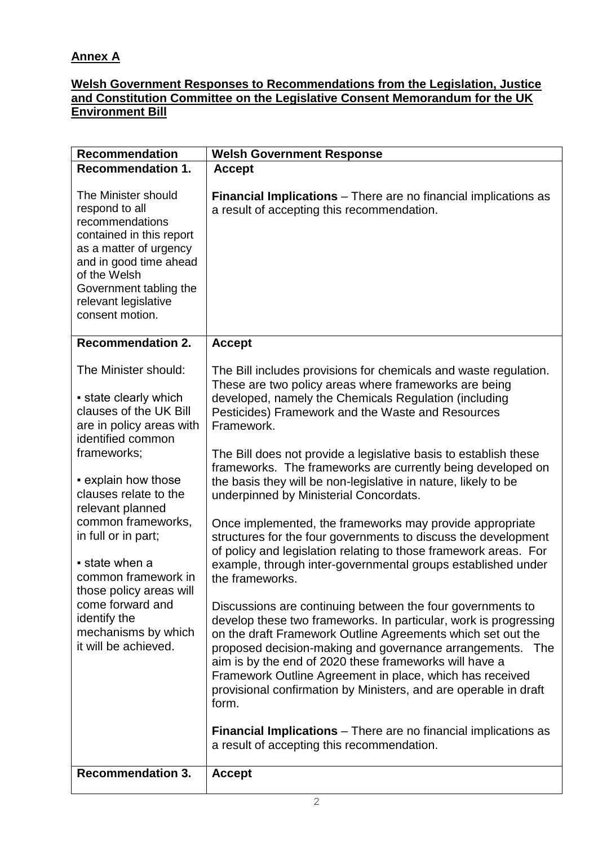## **Annex A**

## **Welsh Government Responses to Recommendations from the Legislation, Justice and Constitution Committee on the Legislative Consent Memorandum for the UK Environment Bill**

| <b>Recommendation</b>                                                                                                                                                                                                         | <b>Welsh Government Response</b>                                                                                                                                                                                                                                                                                                                                                                                                                              |
|-------------------------------------------------------------------------------------------------------------------------------------------------------------------------------------------------------------------------------|---------------------------------------------------------------------------------------------------------------------------------------------------------------------------------------------------------------------------------------------------------------------------------------------------------------------------------------------------------------------------------------------------------------------------------------------------------------|
| <b>Recommendation 1.</b>                                                                                                                                                                                                      | <b>Accept</b>                                                                                                                                                                                                                                                                                                                                                                                                                                                 |
| The Minister should<br>respond to all<br>recommendations<br>contained in this report<br>as a matter of urgency<br>and in good time ahead<br>of the Welsh<br>Government tabling the<br>relevant legislative<br>consent motion. | Financial Implications - There are no financial implications as<br>a result of accepting this recommendation.                                                                                                                                                                                                                                                                                                                                                 |
| <b>Recommendation 2.</b>                                                                                                                                                                                                      | <b>Accept</b>                                                                                                                                                                                                                                                                                                                                                                                                                                                 |
| The Minister should:<br>• state clearly which<br>clauses of the UK Bill<br>are in policy areas with<br>identified common                                                                                                      | The Bill includes provisions for chemicals and waste regulation.<br>These are two policy areas where frameworks are being<br>developed, namely the Chemicals Regulation (including<br>Pesticides) Framework and the Waste and Resources<br>Framework.                                                                                                                                                                                                         |
| frameworks;<br>• explain how those<br>clauses relate to the<br>relevant planned                                                                                                                                               | The Bill does not provide a legislative basis to establish these<br>frameworks. The frameworks are currently being developed on<br>the basis they will be non-legislative in nature, likely to be<br>underpinned by Ministerial Concordats.                                                                                                                                                                                                                   |
| common frameworks,<br>in full or in part;<br>state when a<br>common framework in                                                                                                                                              | Once implemented, the frameworks may provide appropriate<br>structures for the four governments to discuss the development<br>of policy and legislation relating to those framework areas. For<br>example, through inter-governmental groups established under<br>the frameworks.                                                                                                                                                                             |
| those policy areas will<br>come forward and<br>identify the<br>mechanisms by which<br>it will be achieved.                                                                                                                    | Discussions are continuing between the four governments to<br>develop these two frameworks. In particular, work is progressing<br>on the draft Framework Outline Agreements which set out the<br>proposed decision-making and governance arrangements. The<br>aim is by the end of 2020 these frameworks will have a<br>Framework Outline Agreement in place, which has received<br>provisional confirmation by Ministers, and are operable in draft<br>form. |
|                                                                                                                                                                                                                               | <b>Financial Implications</b> – There are no financial implications as<br>a result of accepting this recommendation.                                                                                                                                                                                                                                                                                                                                          |
| <b>Recommendation 3.</b>                                                                                                                                                                                                      | <b>Accept</b>                                                                                                                                                                                                                                                                                                                                                                                                                                                 |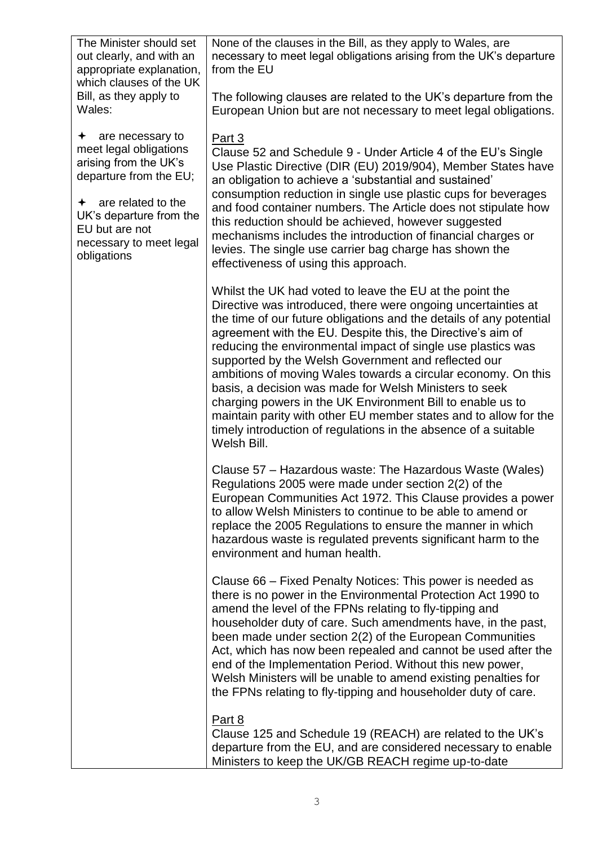| The Minister should set<br>out clearly, and with an<br>appropriate explanation,<br>which clauses of the UK                | None of the clauses in the Bill, as they apply to Wales, are<br>necessary to meet legal obligations arising from the UK's departure<br>from the EU                                                                                                                                                                                                                                                                                                                                                                                                                                                                                                                                                                                    |
|---------------------------------------------------------------------------------------------------------------------------|---------------------------------------------------------------------------------------------------------------------------------------------------------------------------------------------------------------------------------------------------------------------------------------------------------------------------------------------------------------------------------------------------------------------------------------------------------------------------------------------------------------------------------------------------------------------------------------------------------------------------------------------------------------------------------------------------------------------------------------|
| Bill, as they apply to<br>Wales:                                                                                          | The following clauses are related to the UK's departure from the<br>European Union but are not necessary to meet legal obligations.                                                                                                                                                                                                                                                                                                                                                                                                                                                                                                                                                                                                   |
| are necessary to<br>✦<br>meet legal obligations<br>arising from the UK's<br>departure from the EU;                        | Part 3<br>Clause 52 and Schedule 9 - Under Article 4 of the EU's Single<br>Use Plastic Directive (DIR (EU) 2019/904), Member States have<br>an obligation to achieve a 'substantial and sustained'                                                                                                                                                                                                                                                                                                                                                                                                                                                                                                                                    |
| are related to the<br>$\leftarrow$<br>UK's departure from the<br>EU but are not<br>necessary to meet legal<br>obligations | consumption reduction in single use plastic cups for beverages<br>and food container numbers. The Article does not stipulate how<br>this reduction should be achieved, however suggested<br>mechanisms includes the introduction of financial charges or<br>levies. The single use carrier bag charge has shown the<br>effectiveness of using this approach.                                                                                                                                                                                                                                                                                                                                                                          |
|                                                                                                                           | Whilst the UK had voted to leave the EU at the point the<br>Directive was introduced, there were ongoing uncertainties at<br>the time of our future obligations and the details of any potential<br>agreement with the EU. Despite this, the Directive's aim of<br>reducing the environmental impact of single use plastics was<br>supported by the Welsh Government and reflected our<br>ambitions of moving Wales towards a circular economy. On this<br>basis, a decision was made for Welsh Ministers to seek<br>charging powers in the UK Environment Bill to enable us to<br>maintain parity with other EU member states and to allow for the<br>timely introduction of regulations in the absence of a suitable<br>Welsh Bill. |
|                                                                                                                           | Clause 57 – Hazardous waste: The Hazardous Waste (Wales)<br>Regulations 2005 were made under section 2(2) of the<br>European Communities Act 1972. This Clause provides a power<br>to allow Welsh Ministers to continue to be able to amend or<br>replace the 2005 Regulations to ensure the manner in which<br>hazardous waste is regulated prevents significant harm to the<br>environment and human health.                                                                                                                                                                                                                                                                                                                        |
|                                                                                                                           | Clause 66 – Fixed Penalty Notices: This power is needed as<br>there is no power in the Environmental Protection Act 1990 to<br>amend the level of the FPNs relating to fly-tipping and<br>householder duty of care. Such amendments have, in the past,<br>been made under section 2(2) of the European Communities<br>Act, which has now been repealed and cannot be used after the<br>end of the Implementation Period. Without this new power,<br>Welsh Ministers will be unable to amend existing penalties for<br>the FPNs relating to fly-tipping and householder duty of care.                                                                                                                                                  |
|                                                                                                                           | Part 8<br>Clause 125 and Schedule 19 (REACH) are related to the UK's<br>departure from the EU, and are considered necessary to enable<br>Ministers to keep the UK/GB REACH regime up-to-date                                                                                                                                                                                                                                                                                                                                                                                                                                                                                                                                          |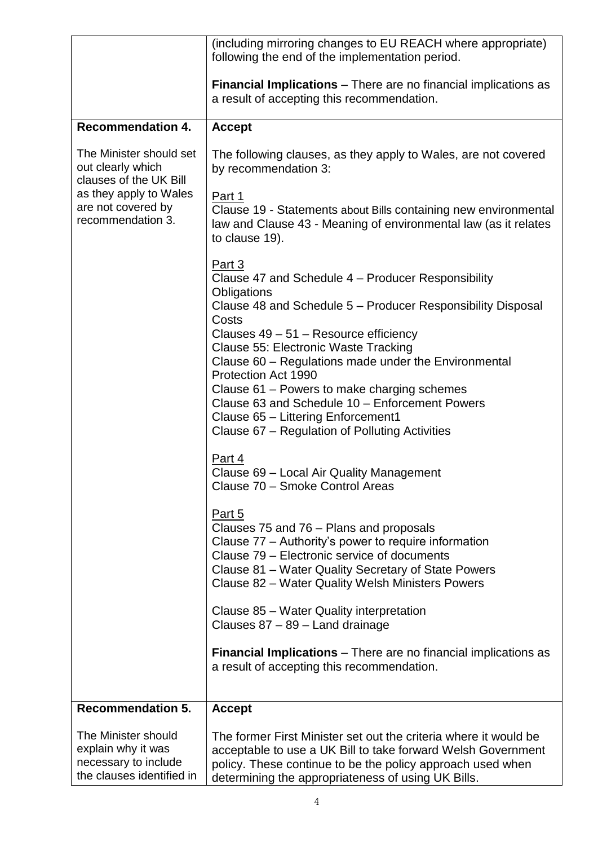|                                                                                                | (including mirroring changes to EU REACH where appropriate)<br>following the end of the implementation period.                                                                                                                                                      |
|------------------------------------------------------------------------------------------------|---------------------------------------------------------------------------------------------------------------------------------------------------------------------------------------------------------------------------------------------------------------------|
|                                                                                                | <b>Financial Implications</b> – There are no financial implications as<br>a result of accepting this recommendation.                                                                                                                                                |
| <b>Recommendation 4.</b>                                                                       | <b>Accept</b>                                                                                                                                                                                                                                                       |
| The Minister should set<br>out clearly which<br>clauses of the UK Bill                         | The following clauses, as they apply to Wales, are not covered<br>by recommendation 3:                                                                                                                                                                              |
| as they apply to Wales<br>are not covered by<br>recommendation 3.                              | Part 1<br>Clause 19 - Statements about Bills containing new environmental<br>law and Clause 43 - Meaning of environmental law (as it relates<br>to clause 19).                                                                                                      |
|                                                                                                | Part 3<br>Clause 47 and Schedule 4 – Producer Responsibility<br>Obligations                                                                                                                                                                                         |
|                                                                                                | Clause 48 and Schedule 5 - Producer Responsibility Disposal<br>Costs<br>Clauses 49 - 51 - Resource efficiency                                                                                                                                                       |
|                                                                                                | Clause 55: Electronic Waste Tracking<br>Clause 60 - Regulations made under the Environmental<br>Protection Act 1990                                                                                                                                                 |
|                                                                                                | Clause 61 – Powers to make charging schemes<br>Clause 63 and Schedule 10 - Enforcement Powers                                                                                                                                                                       |
|                                                                                                | Clause 65 - Littering Enforcement1<br>Clause 67 - Regulation of Polluting Activities                                                                                                                                                                                |
|                                                                                                | Part 4<br>Clause 69 - Local Air Quality Management<br>Clause 70 - Smoke Control Areas                                                                                                                                                                               |
|                                                                                                | Part 5<br>Clauses 75 and 76 - Plans and proposals<br>Clause 77 – Authority's power to require information<br>Clause 79 – Electronic service of documents<br>Clause 81 – Water Quality Secretary of State Powers<br>Clause 82 - Water Quality Welsh Ministers Powers |
|                                                                                                | Clause 85 - Water Quality interpretation<br>Clauses $87 - 89$ – Land drainage                                                                                                                                                                                       |
|                                                                                                | <b>Financial Implications</b> – There are no financial implications as<br>a result of accepting this recommendation.                                                                                                                                                |
| <b>Recommendation 5.</b>                                                                       | <b>Accept</b>                                                                                                                                                                                                                                                       |
| The Minister should<br>explain why it was<br>necessary to include<br>the clauses identified in | The former First Minister set out the criteria where it would be<br>acceptable to use a UK Bill to take forward Welsh Government<br>policy. These continue to be the policy approach used when<br>determining the appropriateness of using UK Bills.                |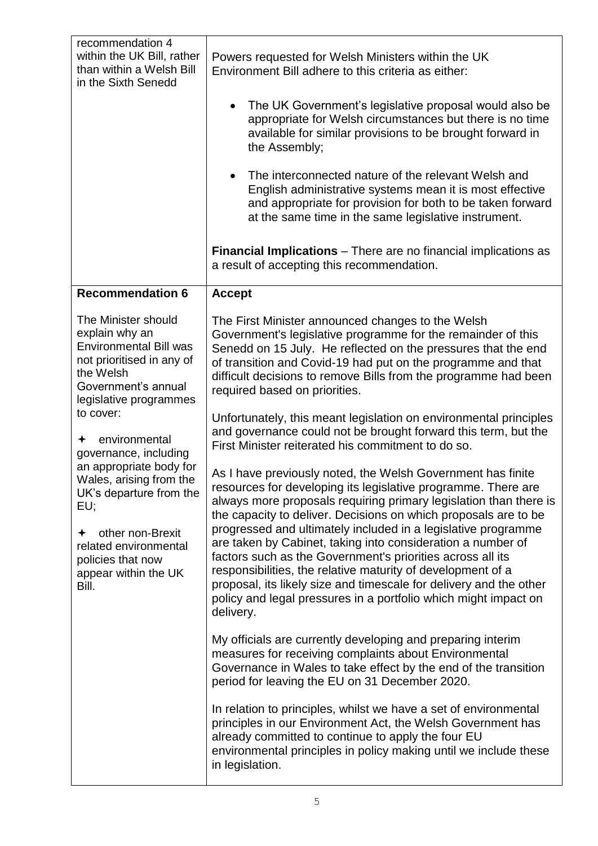| recommendation 4<br>within the UK Bill, rather<br>than within a Welsh Bill<br>in the Sixth Senedd                                                                                                                                                                                                                                                                                                                   | Powers requested for Welsh Ministers within the UK<br>Environment Bill adhere to this criteria as either:<br>The UK Government's legislative proposal would also be<br>$\bullet$<br>appropriate for Welsh circumstances but there is no time<br>available for similar provisions to be brought forward in<br>the Assembly;<br>The interconnected nature of the relevant Welsh and<br>English administrative systems mean it is most effective<br>and appropriate for provision for both to be taken forward<br>at the same time in the same legislative instrument.<br>Financial Implications - There are no financial implications as                                                                                                                                                                                                                                                                                                                                                                                                                                                                                                                                                                                                         |
|---------------------------------------------------------------------------------------------------------------------------------------------------------------------------------------------------------------------------------------------------------------------------------------------------------------------------------------------------------------------------------------------------------------------|------------------------------------------------------------------------------------------------------------------------------------------------------------------------------------------------------------------------------------------------------------------------------------------------------------------------------------------------------------------------------------------------------------------------------------------------------------------------------------------------------------------------------------------------------------------------------------------------------------------------------------------------------------------------------------------------------------------------------------------------------------------------------------------------------------------------------------------------------------------------------------------------------------------------------------------------------------------------------------------------------------------------------------------------------------------------------------------------------------------------------------------------------------------------------------------------------------------------------------------------|
|                                                                                                                                                                                                                                                                                                                                                                                                                     | a result of accepting this recommendation.                                                                                                                                                                                                                                                                                                                                                                                                                                                                                                                                                                                                                                                                                                                                                                                                                                                                                                                                                                                                                                                                                                                                                                                                     |
| <b>Recommendation 6</b>                                                                                                                                                                                                                                                                                                                                                                                             | <b>Accept</b>                                                                                                                                                                                                                                                                                                                                                                                                                                                                                                                                                                                                                                                                                                                                                                                                                                                                                                                                                                                                                                                                                                                                                                                                                                  |
| The Minister should<br>explain why an<br><b>Environmental Bill was</b><br>not prioritised in any of<br>the Welsh<br>Government's annual<br>legislative programmes<br>to cover:<br>environmental<br>governance, including<br>an appropriate body for<br>Wales, arising from the<br>UK's departure from the<br>EU;<br>other non-Brexit<br>related environmental<br>policies that now<br>appear within the UK<br>Bill. | The First Minister announced changes to the Welsh<br>Government's legislative programme for the remainder of this<br>Senedd on 15 July. He reflected on the pressures that the end<br>of transition and Covid-19 had put on the programme and that<br>difficult decisions to remove Bills from the programme had been<br>required based on priorities.<br>Unfortunately, this meant legislation on environmental principles<br>and governance could not be brought forward this term, but the<br>First Minister reiterated his commitment to do so.<br>As I have previously noted, the Welsh Government has finite<br>resources for developing its legislative programme. There are<br>always more proposals requiring primary legislation than there is<br>the capacity to deliver. Decisions on which proposals are to be<br>progressed and ultimately included in a legislative programme<br>are taken by Cabinet, taking into consideration a number of<br>factors such as the Government's priorities across all its<br>responsibilities, the relative maturity of development of a<br>proposal, its likely size and timescale for delivery and the other<br>policy and legal pressures in a portfolio which might impact on<br>delivery. |
|                                                                                                                                                                                                                                                                                                                                                                                                                     | My officials are currently developing and preparing interim<br>measures for receiving complaints about Environmental<br>Governance in Wales to take effect by the end of the transition<br>period for leaving the EU on 31 December 2020.                                                                                                                                                                                                                                                                                                                                                                                                                                                                                                                                                                                                                                                                                                                                                                                                                                                                                                                                                                                                      |
|                                                                                                                                                                                                                                                                                                                                                                                                                     | In relation to principles, whilst we have a set of environmental<br>principles in our Environment Act, the Welsh Government has<br>already committed to continue to apply the four EU<br>environmental principles in policy making until we include these<br>in legislation.                                                                                                                                                                                                                                                                                                                                                                                                                                                                                                                                                                                                                                                                                                                                                                                                                                                                                                                                                                   |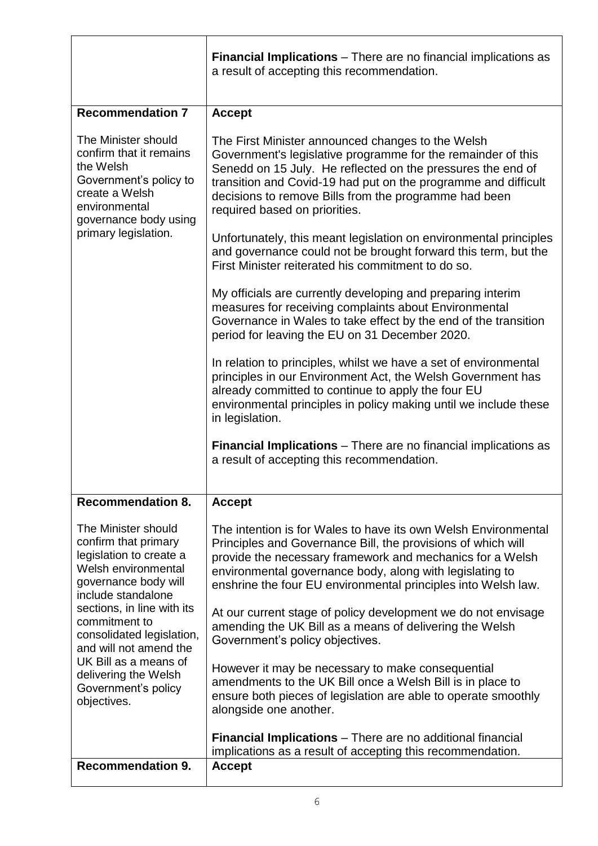|                                                                                                                                                   | <b>Financial Implications</b> – There are no financial implications as<br>a result of accepting this recommendation.                                                                                                                                                                                                                         |
|---------------------------------------------------------------------------------------------------------------------------------------------------|----------------------------------------------------------------------------------------------------------------------------------------------------------------------------------------------------------------------------------------------------------------------------------------------------------------------------------------------|
| <b>Recommendation 7</b>                                                                                                                           | <b>Accept</b>                                                                                                                                                                                                                                                                                                                                |
| The Minister should<br>confirm that it remains<br>the Welsh<br>Government's policy to<br>create a Welsh<br>environmental<br>governance body using | The First Minister announced changes to the Welsh<br>Government's legislative programme for the remainder of this<br>Senedd on 15 July. He reflected on the pressures the end of<br>transition and Covid-19 had put on the programme and difficult<br>decisions to remove Bills from the programme had been<br>required based on priorities. |
| primary legislation.                                                                                                                              | Unfortunately, this meant legislation on environmental principles<br>and governance could not be brought forward this term, but the<br>First Minister reiterated his commitment to do so.                                                                                                                                                    |
|                                                                                                                                                   | My officials are currently developing and preparing interim<br>measures for receiving complaints about Environmental<br>Governance in Wales to take effect by the end of the transition<br>period for leaving the EU on 31 December 2020.                                                                                                    |
|                                                                                                                                                   | In relation to principles, whilst we have a set of environmental<br>principles in our Environment Act, the Welsh Government has<br>already committed to continue to apply the four EU<br>environmental principles in policy making until we include these<br>in legislation.                                                                 |
|                                                                                                                                                   | <b>Financial Implications</b> – There are no financial implications as<br>a result of accepting this recommendation.                                                                                                                                                                                                                         |
| <b>Recommendation 8.</b>                                                                                                                          | <b>Accept</b>                                                                                                                                                                                                                                                                                                                                |
| The Minister should<br>confirm that primary<br>legislation to create a<br>Welsh environmental<br>governance body will<br>include standalone       | The intention is for Wales to have its own Welsh Environmental<br>Principles and Governance Bill, the provisions of which will<br>provide the necessary framework and mechanics for a Welsh<br>environmental governance body, along with legislating to<br>enshrine the four EU environmental principles into Welsh law.                     |
| sections, in line with its<br>commitment to<br>consolidated legislation,<br>and will not amend the                                                | At our current stage of policy development we do not envisage<br>amending the UK Bill as a means of delivering the Welsh<br>Government's policy objectives.                                                                                                                                                                                  |
| UK Bill as a means of<br>delivering the Welsh<br>Government's policy<br>objectives.                                                               | However it may be necessary to make consequential<br>amendments to the UK Bill once a Welsh Bill is in place to<br>ensure both pieces of legislation are able to operate smoothly<br>alongside one another.                                                                                                                                  |
|                                                                                                                                                   | <b>Financial Implications</b> – There are no additional financial<br>implications as a result of accepting this recommendation.                                                                                                                                                                                                              |
| <b>Recommendation 9.</b>                                                                                                                          | <b>Accept</b>                                                                                                                                                                                                                                                                                                                                |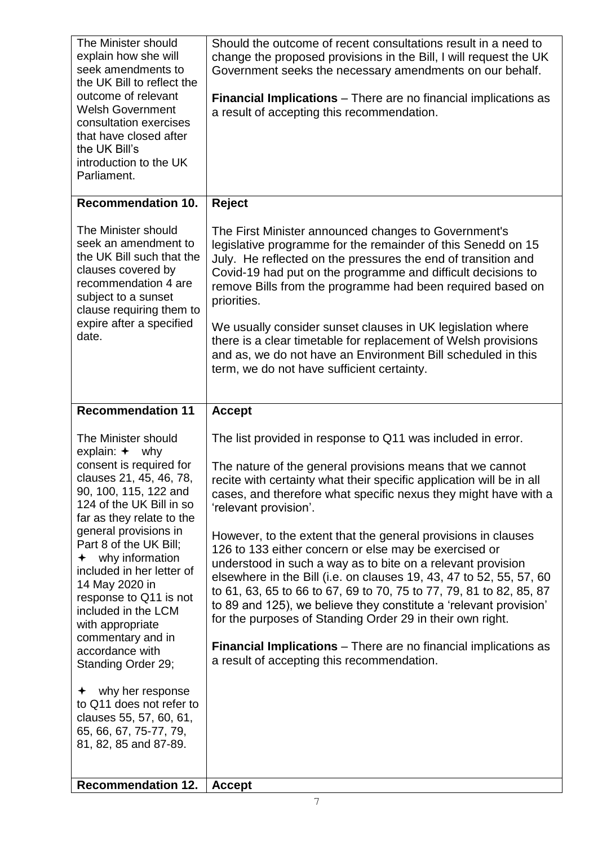| The Minister should<br>explain how she will<br>seek amendments to<br>the UK Bill to reflect the<br>outcome of relevant<br><b>Welsh Government</b><br>consultation exercises<br>that have closed after<br>the UK Bill's<br>introduction to the UK<br>Parliament.                                                                                                                                                                                | Should the outcome of recent consultations result in a need to<br>change the proposed provisions in the Bill, I will request the UK<br>Government seeks the necessary amendments on our behalf.<br><b>Financial Implications</b> – There are no financial implications as<br>a result of accepting this recommendation.                                                                                                                                                                                                                                                                                                                                                                                                                                                                                                                                                                       |
|------------------------------------------------------------------------------------------------------------------------------------------------------------------------------------------------------------------------------------------------------------------------------------------------------------------------------------------------------------------------------------------------------------------------------------------------|-----------------------------------------------------------------------------------------------------------------------------------------------------------------------------------------------------------------------------------------------------------------------------------------------------------------------------------------------------------------------------------------------------------------------------------------------------------------------------------------------------------------------------------------------------------------------------------------------------------------------------------------------------------------------------------------------------------------------------------------------------------------------------------------------------------------------------------------------------------------------------------------------|
| Recommendation 10.                                                                                                                                                                                                                                                                                                                                                                                                                             | Reject                                                                                                                                                                                                                                                                                                                                                                                                                                                                                                                                                                                                                                                                                                                                                                                                                                                                                        |
| The Minister should<br>seek an amendment to<br>the UK Bill such that the<br>clauses covered by<br>recommendation 4 are<br>subject to a sunset<br>clause requiring them to<br>expire after a specified<br>date.                                                                                                                                                                                                                                 | The First Minister announced changes to Government's<br>legislative programme for the remainder of this Senedd on 15<br>July. He reflected on the pressures the end of transition and<br>Covid-19 had put on the programme and difficult decisions to<br>remove Bills from the programme had been required based on<br>priorities.<br>We usually consider sunset clauses in UK legislation where<br>there is a clear timetable for replacement of Welsh provisions<br>and as, we do not have an Environment Bill scheduled in this<br>term, we do not have sufficient certainty.                                                                                                                                                                                                                                                                                                              |
| <b>Recommendation 11</b>                                                                                                                                                                                                                                                                                                                                                                                                                       | <b>Accept</b>                                                                                                                                                                                                                                                                                                                                                                                                                                                                                                                                                                                                                                                                                                                                                                                                                                                                                 |
| The Minister should<br>explain: $+$ why<br>consent is required for<br>clauses 21, 45, 46, 78,<br>90, 100, 115, 122 and<br>124 of the UK Bill in so<br>far as they relate to the<br>general provisions in<br>Part 8 of the UK Bill;<br>$\div$ why information<br>included in her letter of<br>14 May 2020 in<br>response to Q11 is not<br>included in the LCM<br>with appropriate<br>commentary and in<br>accordance with<br>Standing Order 29; | The list provided in response to Q11 was included in error.<br>The nature of the general provisions means that we cannot<br>recite with certainty what their specific application will be in all<br>cases, and therefore what specific nexus they might have with a<br>'relevant provision'.<br>However, to the extent that the general provisions in clauses<br>126 to 133 either concern or else may be exercised or<br>understood in such a way as to bite on a relevant provision<br>elsewhere in the Bill (i.e. on clauses 19, 43, 47 to 52, 55, 57, 60<br>to 61, 63, 65 to 66 to 67, 69 to 70, 75 to 77, 79, 81 to 82, 85, 87<br>to 89 and 125), we believe they constitute a 'relevant provision'<br>for the purposes of Standing Order 29 in their own right.<br><b>Financial Implications</b> – There are no financial implications as<br>a result of accepting this recommendation. |
| why her response<br>to Q11 does not refer to<br>clauses 55, 57, 60, 61,<br>65, 66, 67, 75-77, 79,<br>81, 82, 85 and 87-89.                                                                                                                                                                                                                                                                                                                     |                                                                                                                                                                                                                                                                                                                                                                                                                                                                                                                                                                                                                                                                                                                                                                                                                                                                                               |
| <b>Recommendation 12.</b>                                                                                                                                                                                                                                                                                                                                                                                                                      | <b>Accept</b>                                                                                                                                                                                                                                                                                                                                                                                                                                                                                                                                                                                                                                                                                                                                                                                                                                                                                 |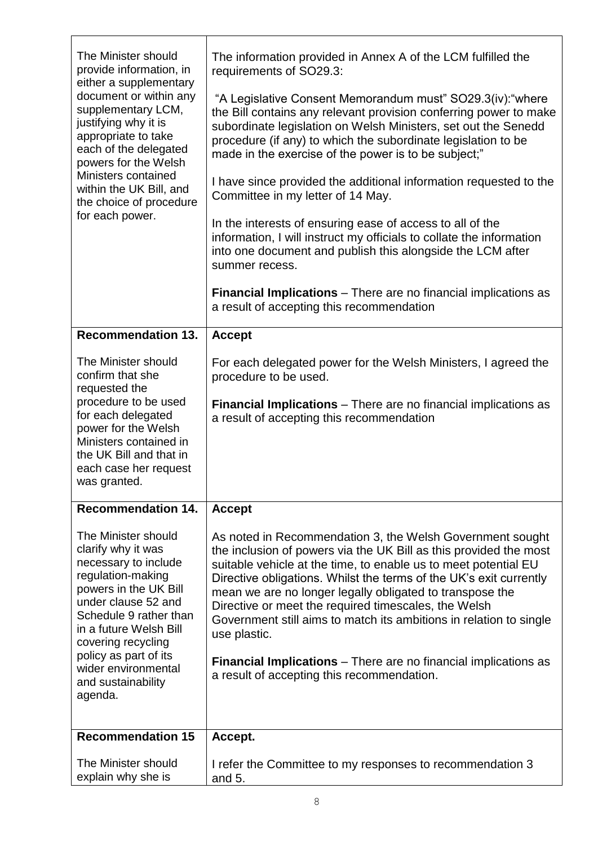| The Minister should<br>provide information, in<br>either a supplementary<br>document or within any<br>supplementary LCM,<br>justifying why it is<br>appropriate to take<br>each of the delegated<br>powers for the Welsh<br>Ministers contained<br>within the UK Bill, and<br>the choice of procedure<br>for each power. | The information provided in Annex A of the LCM fulfilled the<br>requirements of SO29.3:                                                                                                                                                                                                                                                                                                                                                                                                                                                                                                                   |
|--------------------------------------------------------------------------------------------------------------------------------------------------------------------------------------------------------------------------------------------------------------------------------------------------------------------------|-----------------------------------------------------------------------------------------------------------------------------------------------------------------------------------------------------------------------------------------------------------------------------------------------------------------------------------------------------------------------------------------------------------------------------------------------------------------------------------------------------------------------------------------------------------------------------------------------------------|
|                                                                                                                                                                                                                                                                                                                          | "A Legislative Consent Memorandum must" SO29.3(iv): "where<br>the Bill contains any relevant provision conferring power to make<br>subordinate legislation on Welsh Ministers, set out the Senedd<br>procedure (if any) to which the subordinate legislation to be<br>made in the exercise of the power is to be subject;"                                                                                                                                                                                                                                                                                |
|                                                                                                                                                                                                                                                                                                                          | I have since provided the additional information requested to the<br>Committee in my letter of 14 May.                                                                                                                                                                                                                                                                                                                                                                                                                                                                                                    |
|                                                                                                                                                                                                                                                                                                                          | In the interests of ensuring ease of access to all of the<br>information, I will instruct my officials to collate the information<br>into one document and publish this alongside the LCM after<br>summer recess.                                                                                                                                                                                                                                                                                                                                                                                         |
|                                                                                                                                                                                                                                                                                                                          | <b>Financial Implications</b> – There are no financial implications as<br>a result of accepting this recommendation                                                                                                                                                                                                                                                                                                                                                                                                                                                                                       |
| <b>Recommendation 13.</b>                                                                                                                                                                                                                                                                                                | <b>Accept</b>                                                                                                                                                                                                                                                                                                                                                                                                                                                                                                                                                                                             |
| The Minister should<br>confirm that she<br>requested the                                                                                                                                                                                                                                                                 | For each delegated power for the Welsh Ministers, I agreed the<br>procedure to be used.                                                                                                                                                                                                                                                                                                                                                                                                                                                                                                                   |
| procedure to be used<br>for each delegated<br>power for the Welsh<br>Ministers contained in<br>the UK Bill and that in<br>each case her request<br>was granted.                                                                                                                                                          | <b>Financial Implications</b> – There are no financial implications as<br>a result of accepting this recommendation                                                                                                                                                                                                                                                                                                                                                                                                                                                                                       |
| <b>Recommendation 14.</b>                                                                                                                                                                                                                                                                                                | <b>Accept</b>                                                                                                                                                                                                                                                                                                                                                                                                                                                                                                                                                                                             |
| The Minister should<br>clarify why it was<br>necessary to include<br>regulation-making<br>powers in the UK Bill<br>under clause 52 and<br>Schedule 9 rather than<br>in a future Welsh Bill<br>covering recycling<br>policy as part of its<br>wider environmental<br>and sustainability                                   | As noted in Recommendation 3, the Welsh Government sought<br>the inclusion of powers via the UK Bill as this provided the most<br>suitable vehicle at the time, to enable us to meet potential EU<br>Directive obligations. Whilst the terms of the UK's exit currently<br>mean we are no longer legally obligated to transpose the<br>Directive or meet the required timescales, the Welsh<br>Government still aims to match its ambitions in relation to single<br>use plastic.<br><b>Financial Implications</b> – There are no financial implications as<br>a result of accepting this recommendation. |
| agenda.                                                                                                                                                                                                                                                                                                                  |                                                                                                                                                                                                                                                                                                                                                                                                                                                                                                                                                                                                           |
| <b>Recommendation 15</b>                                                                                                                                                                                                                                                                                                 | Accept.                                                                                                                                                                                                                                                                                                                                                                                                                                                                                                                                                                                                   |
|                                                                                                                                                                                                                                                                                                                          |                                                                                                                                                                                                                                                                                                                                                                                                                                                                                                                                                                                                           |
| The Minister should<br>explain why she is                                                                                                                                                                                                                                                                                | I refer the Committee to my responses to recommendation 3<br>and $5.$                                                                                                                                                                                                                                                                                                                                                                                                                                                                                                                                     |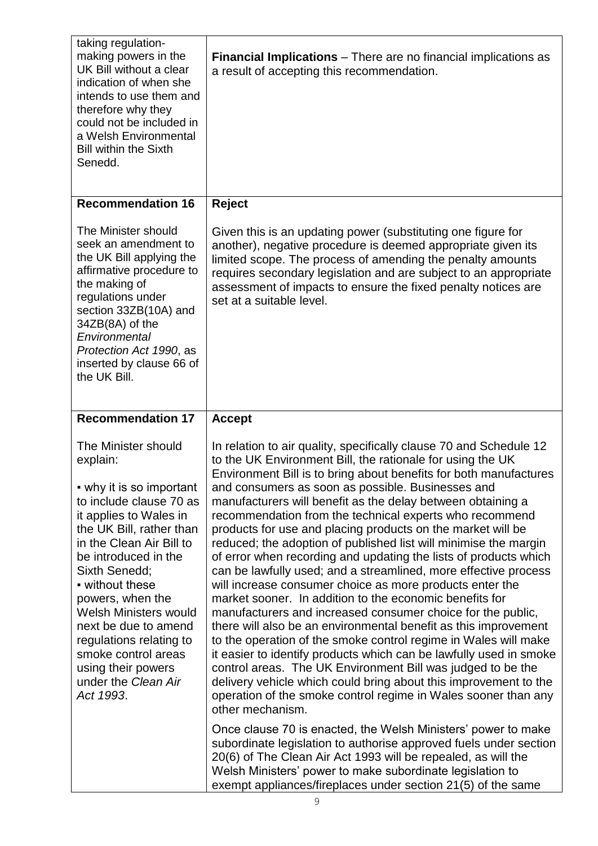| taking regulation-<br>making powers in the<br>UK Bill without a clear<br>indication of when she<br>intends to use them and<br>therefore why they<br>could not be included in<br>a Welsh Environmental<br><b>Bill within the Sixth</b><br>Senedd.                                                                                                                                                                      | <b>Financial Implications</b> – There are no financial implications as<br>a result of accepting this recommendation.                                                                                                                                                                                                                                                                                                                                                                                                                                                                                                                                                                                                                                                                                                                                                                                                                                                                                                                                                                                                                                                                                                                                                                      |
|-----------------------------------------------------------------------------------------------------------------------------------------------------------------------------------------------------------------------------------------------------------------------------------------------------------------------------------------------------------------------------------------------------------------------|-------------------------------------------------------------------------------------------------------------------------------------------------------------------------------------------------------------------------------------------------------------------------------------------------------------------------------------------------------------------------------------------------------------------------------------------------------------------------------------------------------------------------------------------------------------------------------------------------------------------------------------------------------------------------------------------------------------------------------------------------------------------------------------------------------------------------------------------------------------------------------------------------------------------------------------------------------------------------------------------------------------------------------------------------------------------------------------------------------------------------------------------------------------------------------------------------------------------------------------------------------------------------------------------|
| <b>Recommendation 16</b>                                                                                                                                                                                                                                                                                                                                                                                              | Reject                                                                                                                                                                                                                                                                                                                                                                                                                                                                                                                                                                                                                                                                                                                                                                                                                                                                                                                                                                                                                                                                                                                                                                                                                                                                                    |
| The Minister should<br>seek an amendment to<br>the UK Bill applying the<br>affirmative procedure to<br>the making of<br>regulations under<br>section 33ZB(10A) and<br>34ZB(8A) of the<br>Environmental<br>Protection Act 1990, as<br>inserted by clause 66 of<br>the UK Bill.                                                                                                                                         | Given this is an updating power (substituting one figure for<br>another), negative procedure is deemed appropriate given its<br>limited scope. The process of amending the penalty amounts<br>requires secondary legislation and are subject to an appropriate<br>assessment of impacts to ensure the fixed penalty notices are<br>set at a suitable level.                                                                                                                                                                                                                                                                                                                                                                                                                                                                                                                                                                                                                                                                                                                                                                                                                                                                                                                               |
| <b>Recommendation 17</b>                                                                                                                                                                                                                                                                                                                                                                                              | <b>Accept</b>                                                                                                                                                                                                                                                                                                                                                                                                                                                                                                                                                                                                                                                                                                                                                                                                                                                                                                                                                                                                                                                                                                                                                                                                                                                                             |
| The Minister should<br>explain:<br>• why it is so important<br>to include clause 70 as<br>it applies to Wales in<br>the UK Bill, rather than<br>in the Clean Air Bill to<br>be introduced in the<br>Sixth Senedd;<br>• without these<br>powers, when the<br>Welsh Ministers would<br>next be due to amend<br>regulations relating to<br>smoke control areas<br>using their powers<br>under the Clean Air<br>Act 1993. | In relation to air quality, specifically clause 70 and Schedule 12<br>to the UK Environment Bill, the rationale for using the UK<br>Environment Bill is to bring about benefits for both manufactures<br>and consumers as soon as possible. Businesses and<br>manufacturers will benefit as the delay between obtaining a<br>recommendation from the technical experts who recommend<br>products for use and placing products on the market will be<br>reduced; the adoption of published list will minimise the margin<br>of error when recording and updating the lists of products which<br>can be lawfully used; and a streamlined, more effective process<br>will increase consumer choice as more products enter the<br>market sooner. In addition to the economic benefits for<br>manufacturers and increased consumer choice for the public,<br>there will also be an environmental benefit as this improvement<br>to the operation of the smoke control regime in Wales will make<br>it easier to identify products which can be lawfully used in smoke<br>control areas. The UK Environment Bill was judged to be the<br>delivery vehicle which could bring about this improvement to the<br>operation of the smoke control regime in Wales sooner than any<br>other mechanism. |
|                                                                                                                                                                                                                                                                                                                                                                                                                       | Once clause 70 is enacted, the Welsh Ministers' power to make                                                                                                                                                                                                                                                                                                                                                                                                                                                                                                                                                                                                                                                                                                                                                                                                                                                                                                                                                                                                                                                                                                                                                                                                                             |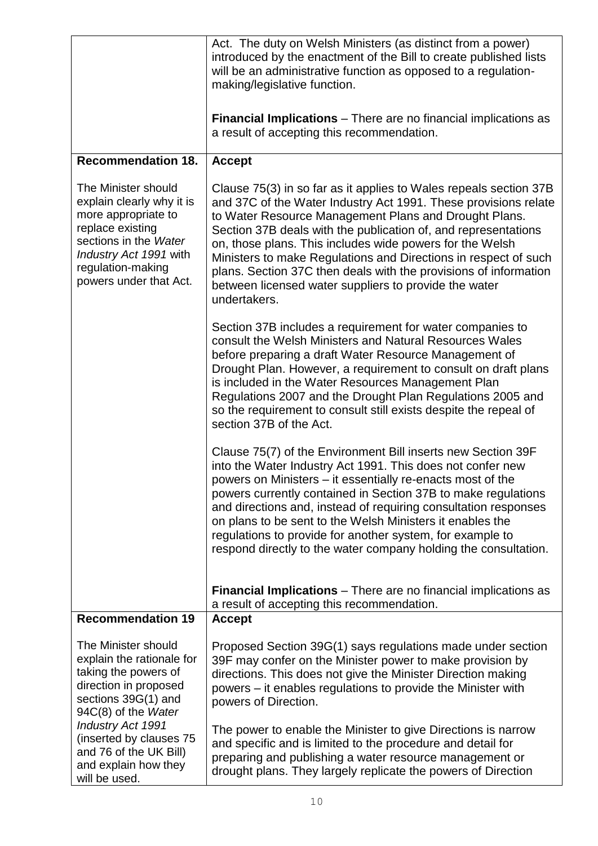|                                                                                                                                                                                               | Act. The duty on Welsh Ministers (as distinct from a power)<br>introduced by the enactment of the Bill to create published lists<br>will be an administrative function as opposed to a regulation-<br>making/legislative function.                                                                                                                                                                                                                                                                                                          |
|-----------------------------------------------------------------------------------------------------------------------------------------------------------------------------------------------|---------------------------------------------------------------------------------------------------------------------------------------------------------------------------------------------------------------------------------------------------------------------------------------------------------------------------------------------------------------------------------------------------------------------------------------------------------------------------------------------------------------------------------------------|
|                                                                                                                                                                                               | <b>Financial Implications</b> – There are no financial implications as<br>a result of accepting this recommendation.                                                                                                                                                                                                                                                                                                                                                                                                                        |
| <b>Recommendation 18.</b>                                                                                                                                                                     | <b>Accept</b>                                                                                                                                                                                                                                                                                                                                                                                                                                                                                                                               |
| The Minister should<br>explain clearly why it is<br>more appropriate to<br>replace existing<br>sections in the Water<br>Industry Act 1991 with<br>regulation-making<br>powers under that Act. | Clause 75(3) in so far as it applies to Wales repeals section 37B<br>and 37C of the Water Industry Act 1991. These provisions relate<br>to Water Resource Management Plans and Drought Plans.<br>Section 37B deals with the publication of, and representations<br>on, those plans. This includes wide powers for the Welsh<br>Ministers to make Regulations and Directions in respect of such<br>plans. Section 37C then deals with the provisions of information<br>between licensed water suppliers to provide the water<br>undertakers. |
|                                                                                                                                                                                               | Section 37B includes a requirement for water companies to<br>consult the Welsh Ministers and Natural Resources Wales<br>before preparing a draft Water Resource Management of<br>Drought Plan. However, a requirement to consult on draft plans<br>is included in the Water Resources Management Plan<br>Regulations 2007 and the Drought Plan Regulations 2005 and<br>so the requirement to consult still exists despite the repeal of<br>section 37B of the Act.                                                                          |
|                                                                                                                                                                                               | Clause 75(7) of the Environment Bill inserts new Section 39F<br>into the Water Industry Act 1991. This does not confer new<br>powers on Ministers – it essentially re-enacts most of the<br>powers currently contained in Section 37B to make regulations<br>and directions and, instead of requiring consultation responses<br>on plans to be sent to the Welsh Ministers it enables the<br>regulations to provide for another system, for example to<br>respond directly to the water company holding the consultation.                   |
|                                                                                                                                                                                               | <b>Financial Implications</b> – There are no financial implications as<br>a result of accepting this recommendation.                                                                                                                                                                                                                                                                                                                                                                                                                        |
| <b>Recommendation 19</b>                                                                                                                                                                      | <b>Accept</b>                                                                                                                                                                                                                                                                                                                                                                                                                                                                                                                               |
| The Minister should<br>explain the rationale for<br>taking the powers of<br>direction in proposed<br>sections 39G(1) and<br>94C(8) of the Water                                               | Proposed Section 39G(1) says regulations made under section<br>39F may confer on the Minister power to make provision by<br>directions. This does not give the Minister Direction making<br>powers – it enables regulations to provide the Minister with<br>powers of Direction.                                                                                                                                                                                                                                                            |
| Industry Act 1991<br>(inserted by clauses 75<br>and 76 of the UK Bill)<br>and explain how they<br>will be used.                                                                               | The power to enable the Minister to give Directions is narrow<br>and specific and is limited to the procedure and detail for<br>preparing and publishing a water resource management or<br>drought plans. They largely replicate the powers of Direction                                                                                                                                                                                                                                                                                    |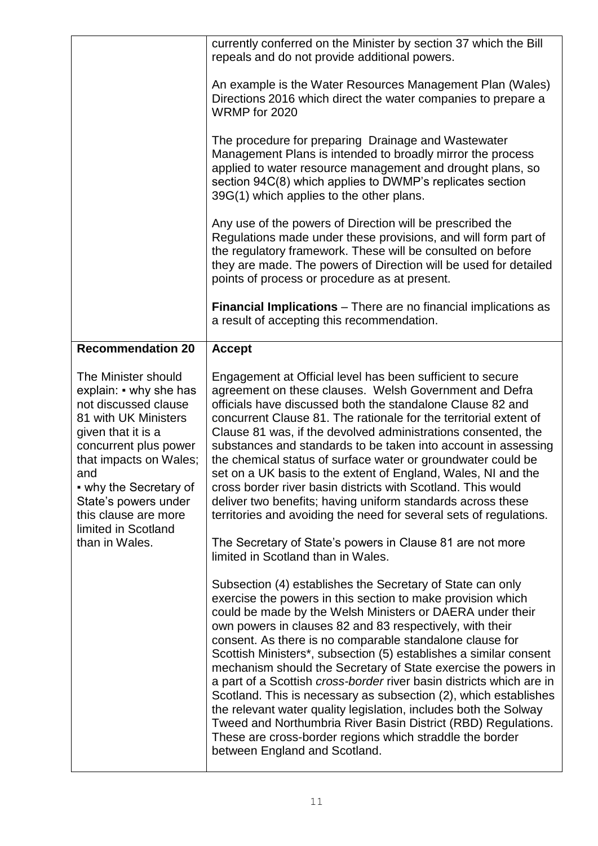|                                                                                                                                                                                                                                                                                                                              | currently conferred on the Minister by section 37 which the Bill<br>repeals and do not provide additional powers.<br>An example is the Water Resources Management Plan (Wales)<br>Directions 2016 which direct the water companies to prepare a<br>WRMP for 2020<br>The procedure for preparing Drainage and Wastewater<br>Management Plans is intended to broadly mirror the process<br>applied to water resource management and drought plans, so<br>section 94C(8) which applies to DWMP's replicates section<br>39G(1) which applies to the other plans.<br>Any use of the powers of Direction will be prescribed the<br>Regulations made under these provisions, and will form part of<br>the regulatory framework. These will be consulted on before<br>they are made. The powers of Direction will be used for detailed<br>points of process or procedure as at present. |
|------------------------------------------------------------------------------------------------------------------------------------------------------------------------------------------------------------------------------------------------------------------------------------------------------------------------------|---------------------------------------------------------------------------------------------------------------------------------------------------------------------------------------------------------------------------------------------------------------------------------------------------------------------------------------------------------------------------------------------------------------------------------------------------------------------------------------------------------------------------------------------------------------------------------------------------------------------------------------------------------------------------------------------------------------------------------------------------------------------------------------------------------------------------------------------------------------------------------|
|                                                                                                                                                                                                                                                                                                                              | <b>Financial Implications</b> – There are no financial implications as<br>a result of accepting this recommendation.                                                                                                                                                                                                                                                                                                                                                                                                                                                                                                                                                                                                                                                                                                                                                            |
| <b>Recommendation 20</b><br>The Minister should<br>explain: • why she has<br>not discussed clause<br>81 with UK Ministers<br>given that it is a<br>concurrent plus power<br>that impacts on Wales;<br>and<br>• why the Secretary of<br>State's powers under<br>this clause are more<br>limited in Scotland<br>than in Wales. | <b>Accept</b><br>Engagement at Official level has been sufficient to secure<br>agreement on these clauses. Welsh Government and Defra<br>officials have discussed both the standalone Clause 82 and<br>concurrent Clause 81. The rationale for the territorial extent of<br>Clause 81 was, if the devolved administrations consented, the<br>substances and standards to be taken into account in assessing<br>the chemical status of surface water or groundwater could be<br>set on a UK basis to the extent of England, Wales, NI and the<br>cross border river basin districts with Scotland. This would<br>deliver two benefits; having uniform standards across these<br>territories and avoiding the need for several sets of regulations.<br>The Secretary of State's powers in Clause 81 are not more<br>limited in Scotland than in Wales.                            |
|                                                                                                                                                                                                                                                                                                                              | Subsection (4) establishes the Secretary of State can only<br>exercise the powers in this section to make provision which<br>could be made by the Welsh Ministers or DAERA under their<br>own powers in clauses 82 and 83 respectively, with their<br>consent. As there is no comparable standalone clause for<br>Scottish Ministers*, subsection (5) establishes a similar consent<br>mechanism should the Secretary of State exercise the powers in<br>a part of a Scottish cross-border river basin districts which are in<br>Scotland. This is necessary as subsection (2), which establishes<br>the relevant water quality legislation, includes both the Solway<br>Tweed and Northumbria River Basin District (RBD) Regulations.<br>These are cross-border regions which straddle the border<br>between England and Scotland.                                             |